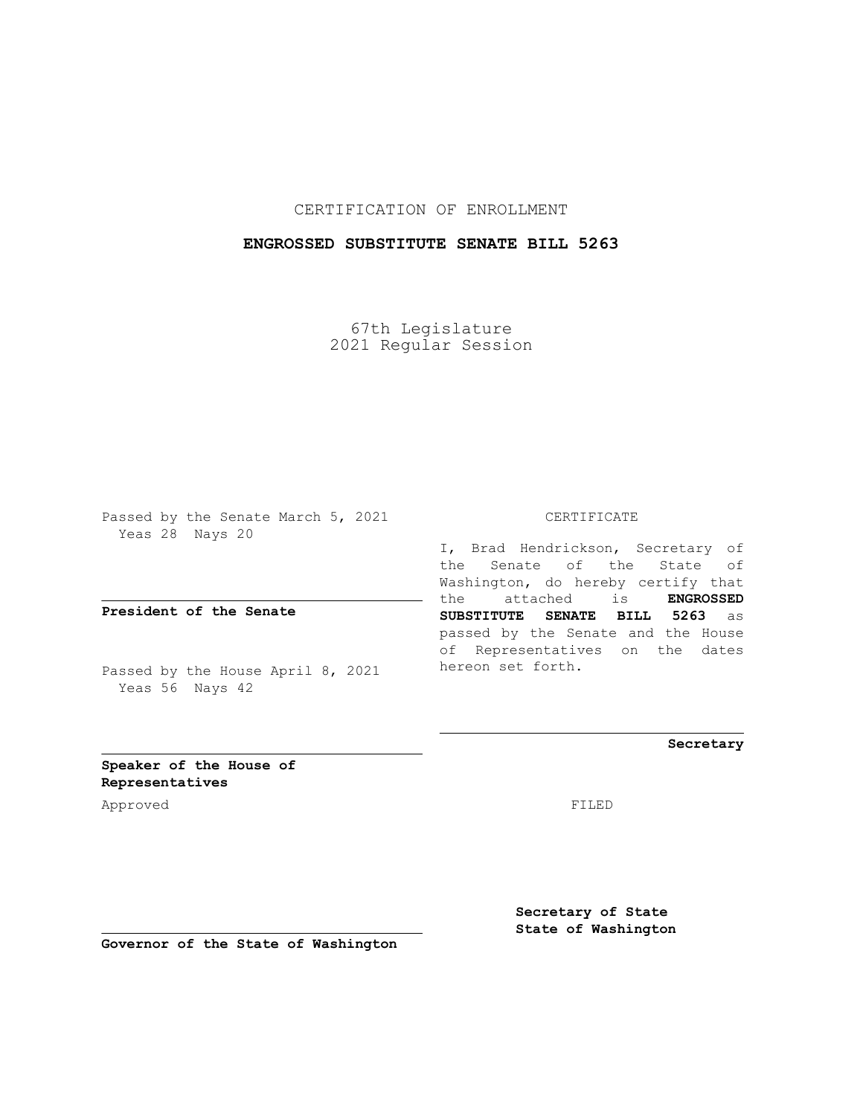CERTIFICATION OF ENROLLMENT

## **ENGROSSED SUBSTITUTE SENATE BILL 5263**

67th Legislature 2021 Regular Session

Passed by the Senate March 5, 2021 Yeas 28 Nays 20

**President of the Senate**

Passed by the House April 8, 2021 Yeas 56 Nays 42

CERTIFICATE

I, Brad Hendrickson, Secretary of the Senate of the State of Washington, do hereby certify that the attached is **ENGROSSED SUBSTITUTE SENATE BILL 5263** as passed by the Senate and the House of Representatives on the dates hereon set forth.

**Secretary**

**Speaker of the House of Representatives**

Approved FILED

**Secretary of State State of Washington**

**Governor of the State of Washington**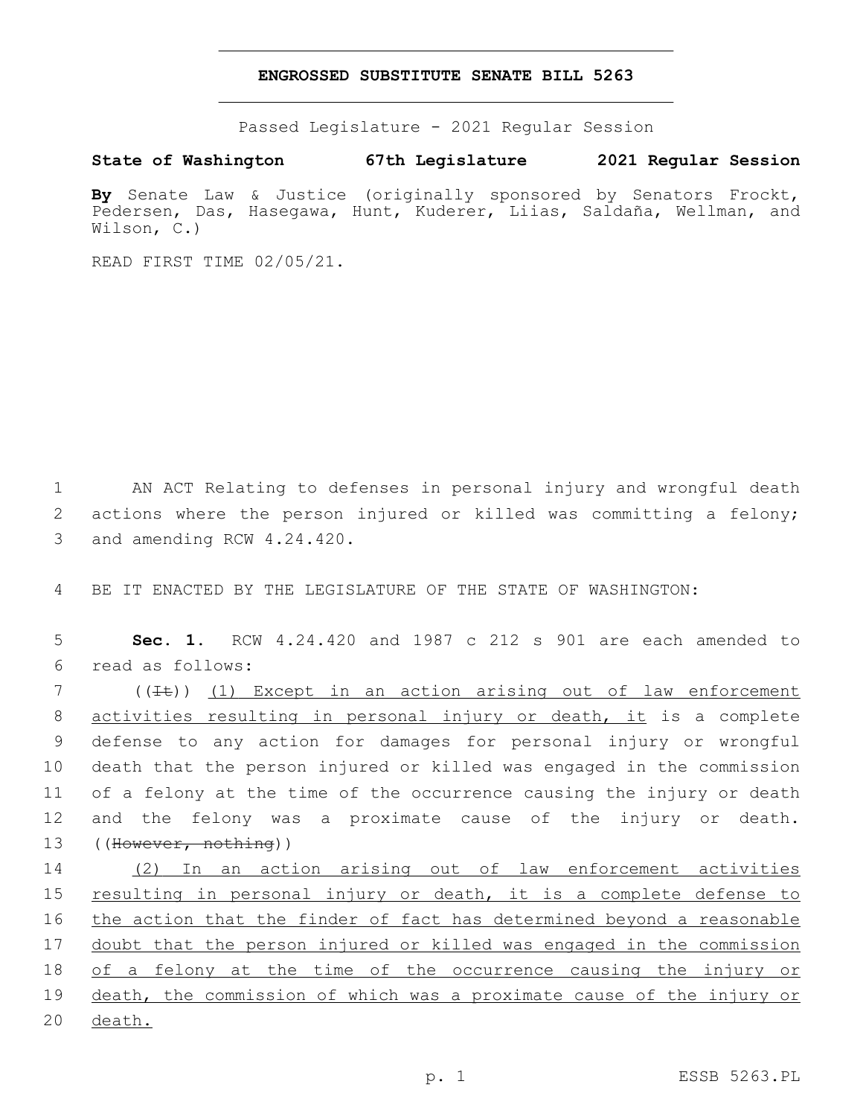## **ENGROSSED SUBSTITUTE SENATE BILL 5263**

Passed Legislature - 2021 Regular Session

**State of Washington 67th Legislature 2021 Regular Session**

**By** Senate Law & Justice (originally sponsored by Senators Frockt, Pedersen, Das, Hasegawa, Hunt, Kuderer, Liias, Saldaña, Wellman, and Wilson, C.)

READ FIRST TIME 02/05/21.

1 AN ACT Relating to defenses in personal injury and wrongful death 2 actions where the person injured or killed was committing a felony; 3 and amending RCW 4.24.420.

4 BE IT ENACTED BY THE LEGISLATURE OF THE STATE OF WASHINGTON:

5 **Sec. 1.** RCW 4.24.420 and 1987 c 212 s 901 are each amended to read as follows:6

7 ((It)) (1) Except in an action arising out of law enforcement activities resulting in personal injury or death, it is a complete defense to any action for damages for personal injury or wrongful death that the person injured or killed was engaged in the commission of a felony at the time of the occurrence causing the injury or death and the felony was a proximate cause of the injury or death. 13 ((However, nothing))

14 (2) In an action arising out of law enforcement activities 15 resulting in personal injury or death, it is a complete defense to 16 the action that the finder of fact has determined beyond a reasonable 17 doubt that the person injured or killed was engaged in the commission 18 of a felony at the time of the occurrence causing the injury or 19 death, the commission of which was a proximate cause of the injury or 20 death.